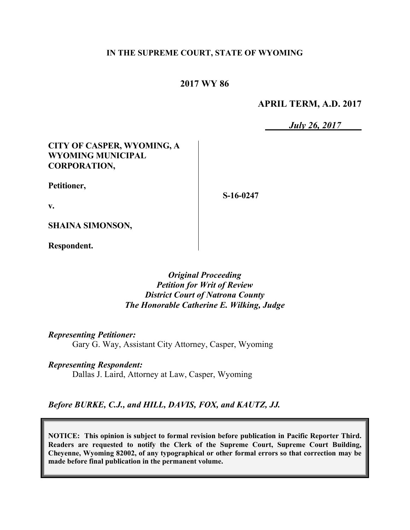### **IN THE SUPREME COURT, STATE OF WYOMING**

# **2017 WY 86**

### **APRIL TERM, A.D. 2017**

*July 26, 2017*

### **CITY OF CASPER, WYOMING, A WYOMING MUNICIPAL CORPORATION,**

**Petitioner,**

**S-16-0247**

**v.**

**SHAINA SIMONSON,**

**Respondent.**

### *Original Proceeding Petition for Writ of Review District Court of Natrona County The Honorable Catherine E. Wilking, Judge*

*Representing Petitioner:* Gary G. Way, Assistant City Attorney, Casper, Wyoming

*Representing Respondent:* Dallas J. Laird, Attorney at Law, Casper, Wyoming

*Before BURKE, C.J., and HILL, DAVIS, FOX, and KAUTZ, JJ.*

**NOTICE: This opinion is subject to formal revision before publication in Pacific Reporter Third. Readers are requested to notify the Clerk of the Supreme Court, Supreme Court Building, Cheyenne, Wyoming 82002, of any typographical or other formal errors so that correction may be made before final publication in the permanent volume.**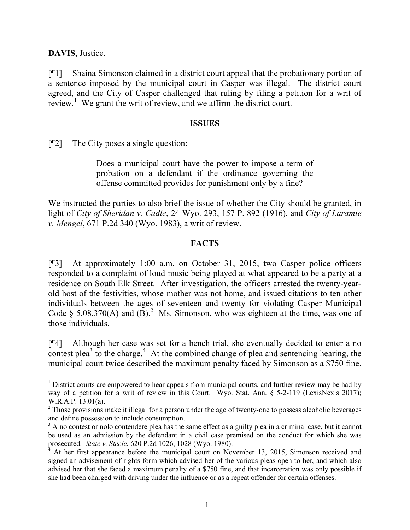**DAVIS**, Justice.

 $\overline{a}$ 

[¶1] Shaina Simonson claimed in a district court appeal that the probationary portion of a sentence imposed by the municipal court in Casper was illegal. The district court agreed, and the City of Casper challenged that ruling by filing a petition for a writ of review.<sup>1</sup> We grant the writ of review, and we affirm the district court.

#### **ISSUES**

[¶2] The City poses a single question:

Does a municipal court have the power to impose a term of probation on a defendant if the ordinance governing the offense committed provides for punishment only by a fine?

We instructed the parties to also brief the issue of whether the City should be granted, in light of *City of Sheridan v. Cadle*, 24 Wyo. 293, 157 P. 892 (1916), and *City of Laramie v. Mengel*, 671 P.2d 340 (Wyo. 1983), a writ of review.

#### **FACTS**

[¶3] At approximately 1:00 a.m. on October 31, 2015, two Casper police officers responded to a complaint of loud music being played at what appeared to be a party at a residence on South Elk Street. After investigation, the officers arrested the twenty-yearold host of the festivities, whose mother was not home, and issued citations to ten other individuals between the ages of seventeen and twenty for violating Casper Municipal Code § 5.08.370(A) and  $(B)$ .<sup>2</sup> Ms. Simonson, who was eighteen at the time, was one of those individuals.

[¶4] Although her case was set for a bench trial, she eventually decided to enter a no contest plea<sup>3</sup> to the charge.<sup>4</sup> At the combined change of plea and sentencing hearing, the municipal court twice described the maximum penalty faced by Simonson as a \$750 fine.

<sup>&</sup>lt;sup>1</sup> District courts are empowered to hear appeals from municipal courts, and further review may be had by way of a petition for a writ of review in this Court. Wyo. Stat. Ann. § 5-2-119 (LexisNexis 2017); W.R.A.P. 13.01(a).

 $2$  Those provisions make it illegal for a person under the age of twenty-one to possess alcoholic beverages and define possession to include consumption.

<sup>&</sup>lt;sup>3</sup> A no contest or nolo contendere plea has the same effect as a guilty plea in a criminal case, but it cannot be used as an admission by the defendant in a civil case premised on the conduct for which she was prosecuted. *State v. Steele*, 620 P.2d 1026, 1028 (Wyo. 1980).

At her first appearance before the municipal court on November 13, 2015, Simonson received and signed an advisement of rights form which advised her of the various pleas open to her, and which also advised her that she faced a maximum penalty of a \$750 fine, and that incarceration was only possible if she had been charged with driving under the influence or as a repeat offender for certain offenses.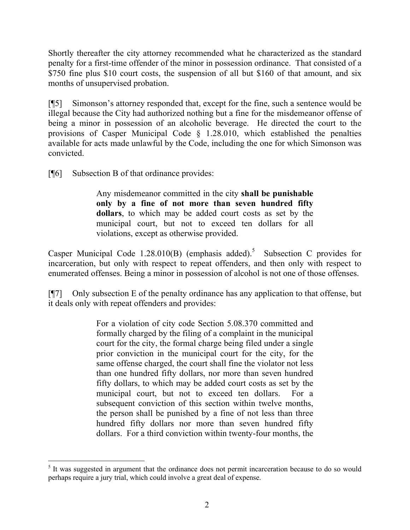Shortly thereafter the city attorney recommended what he characterized as the standard penalty for a first-time offender of the minor in possession ordinance. That consisted of a \$750 fine plus \$10 court costs, the suspension of all but \$160 of that amount, and six months of unsupervised probation.

[¶5] Simonson's attorney responded that, except for the fine, such a sentence would be illegal because the City had authorized nothing but a fine for the misdemeanor offense of being a minor in possession of an alcoholic beverage. He directed the court to the provisions of Casper Municipal Code § 1.28.010, which established the penalties available for acts made unlawful by the Code, including the one for which Simonson was convicted.

[¶6] Subsection B of that ordinance provides:

Any misdemeanor committed in the city **shall be punishable only by a fine of not more than seven hundred fifty dollars**, to which may be added court costs as set by the municipal court, but not to exceed ten dollars for all violations, except as otherwise provided.

Casper Municipal Code 1.28.010(B) (emphasis added).<sup>5</sup> Subsection C provides for incarceration, but only with respect to repeat offenders, and then only with respect to enumerated offenses. Being a minor in possession of alcohol is not one of those offenses.

[¶7] Only subsection E of the penalty ordinance has any application to that offense, but it deals only with repeat offenders and provides:

> For a violation of city code Section 5.08.370 committed and formally charged by the filing of a complaint in the municipal court for the city, the formal charge being filed under a single prior conviction in the municipal court for the city, for the same offense charged, the court shall fine the violator not less than one hundred fifty dollars, nor more than seven hundred fifty dollars, to which may be added court costs as set by the municipal court, but not to exceed ten dollars. For a subsequent conviction of this section within twelve months, the person shall be punished by a fine of not less than three hundred fifty dollars nor more than seven hundred fifty dollars. For a third conviction within twenty-four months, the

<sup>&</sup>lt;sup>5</sup> It was suggested in argument that the ordinance does not permit incarceration because to do so would perhaps require a jury trial, which could involve a great deal of expense.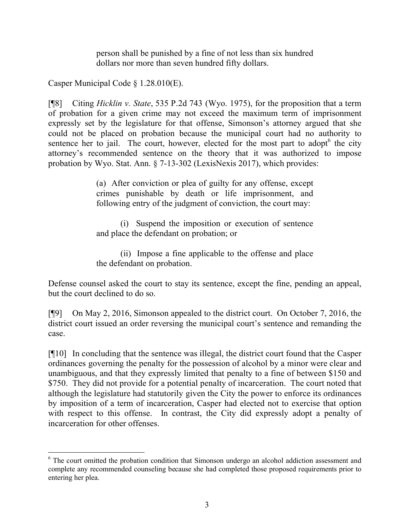person shall be punished by a fine of not less than six hundred dollars nor more than seven hundred fifty dollars.

Casper Municipal Code § 1.28.010(E).

l

[¶8] Citing *Hicklin v. State*, 535 P.2d 743 (Wyo. 1975), for the proposition that a term of probation for a given crime may not exceed the maximum term of imprisonment expressly set by the legislature for that offense, Simonson's attorney argued that she could not be placed on probation because the municipal court had no authority to sentence her to jail. The court, however, elected for the most part to adopt $6$  the city attorney's recommended sentence on the theory that it was authorized to impose probation by Wyo. Stat. Ann. § 7-13-302 (LexisNexis 2017), which provides:

> (a) After conviction or plea of guilty for any offense, except crimes punishable by death or life imprisonment, and following entry of the judgment of conviction, the court may:

> (i) Suspend the imposition or execution of sentence and place the defendant on probation; or

> (ii) Impose a fine applicable to the offense and place the defendant on probation.

Defense counsel asked the court to stay its sentence, except the fine, pending an appeal, but the court declined to do so.

[¶9] On May 2, 2016, Simonson appealed to the district court. On October 7, 2016, the district court issued an order reversing the municipal court's sentence and remanding the case.

[¶10] In concluding that the sentence was illegal, the district court found that the Casper ordinances governing the penalty for the possession of alcohol by a minor were clear and unambiguous, and that they expressly limited that penalty to a fine of between \$150 and \$750. They did not provide for a potential penalty of incarceration. The court noted that although the legislature had statutorily given the City the power to enforce its ordinances by imposition of a term of incarceration, Casper had elected not to exercise that option with respect to this offense. In contrast, the City did expressly adopt a penalty of incarceration for other offenses.

<sup>&</sup>lt;sup>6</sup> The court omitted the probation condition that Simonson undergo an alcohol addiction assessment and complete any recommended counseling because she had completed those proposed requirements prior to entering her plea.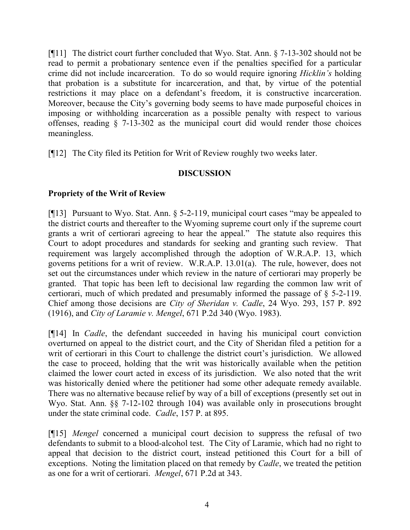[¶11] The district court further concluded that Wyo. Stat. Ann. § 7-13-302 should not be read to permit a probationary sentence even if the penalties specified for a particular crime did not include incarceration. To do so would require ignoring *Hicklin's* holding that probation is a substitute for incarceration, and that, by virtue of the potential restrictions it may place on a defendant's freedom, it is constructive incarceration. Moreover, because the City's governing body seems to have made purposeful choices in imposing or withholding incarceration as a possible penalty with respect to various offenses, reading § 7-13-302 as the municipal court did would render those choices meaningless.

[¶12] The City filed its Petition for Writ of Review roughly two weeks later.

## **DISCUSSION**

## **Propriety of the Writ of Review**

[¶13] Pursuant to Wyo. Stat. Ann. § 5-2-119, municipal court cases "may be appealed to the district courts and thereafter to the Wyoming supreme court only if the supreme court grants a writ of certiorari agreeing to hear the appeal." The statute also requires this Court to adopt procedures and standards for seeking and granting such review. That requirement was largely accomplished through the adoption of W.R.A.P. 13, which governs petitions for a writ of review. W.R.A.P. 13.01(a). The rule, however, does not set out the circumstances under which review in the nature of certiorari may properly be granted. That topic has been left to decisional law regarding the common law writ of certiorari, much of which predated and presumably informed the passage of § 5-2-119. Chief among those decisions are *City of Sheridan v. Cadle*, 24 Wyo. 293, 157 P. 892 (1916), and *City of Laramie v. Mengel*, 671 P.2d 340 (Wyo. 1983).

[¶14] In *Cadle*, the defendant succeeded in having his municipal court conviction overturned on appeal to the district court, and the City of Sheridan filed a petition for a writ of certiorari in this Court to challenge the district court's jurisdiction. We allowed the case to proceed, holding that the writ was historically available when the petition claimed the lower court acted in excess of its jurisdiction. We also noted that the writ was historically denied where the petitioner had some other adequate remedy available. There was no alternative because relief by way of a bill of exceptions (presently set out in Wyo. Stat. Ann. §§ 7-12-102 through 104) was available only in prosecutions brought under the state criminal code. *Cadle*, 157 P. at 895.

[¶15] *Mengel* concerned a municipal court decision to suppress the refusal of two defendants to submit to a blood-alcohol test. The City of Laramie, which had no right to appeal that decision to the district court, instead petitioned this Court for a bill of exceptions. Noting the limitation placed on that remedy by *Cadle*, we treated the petition as one for a writ of certiorari. *Mengel*, 671 P.2d at 343.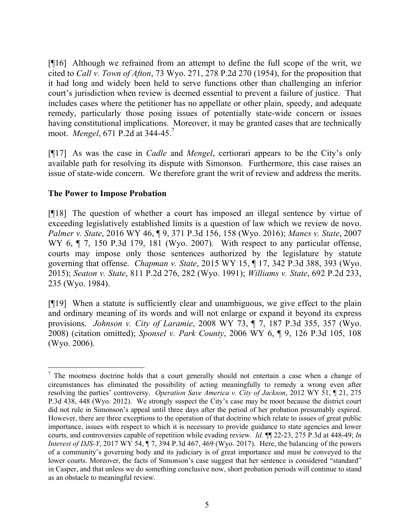[¶16] Although we refrained from an attempt to define the full scope of the writ, we cited to *Call v. Town of Afton*, 73 Wyo. 271, 278 P.2d 270 (1954), for the proposition that it had long and widely been held to serve functions other than challenging an inferior court's jurisdiction when review is deemed essential to prevent a failure of justice. That includes cases where the petitioner has no appellate or other plain, speedy, and adequate remedy, particularly those posing issues of potentially state-wide concern or issues having constitutional implications. Moreover, it may be granted cases that are technically moot. *Mengel*, 671 P.2d at 344-45.<sup>7</sup>

[¶17] As was the case in *Cadle* and *Mengel*, certiorari appears to be the City's only available path for resolving its dispute with Simonson. Furthermore, this case raises an issue of state-wide concern. We therefore grant the writ of review and address the merits.

### **The Power to Impose Probation**

 $\overline{a}$ 

[¶18] The question of whether a court has imposed an illegal sentence by virtue of exceeding legislatively established limits is a question of law which we review de novo. *Palmer v. State*, 2016 WY 46, ¶ 9, 371 P.3d 156, 158 (Wyo. 2016); *Manes v. State*, 2007 WY 6,  $\P$  7, 150 P.3d 179, 181 (Wyo. 2007). With respect to any particular offense, courts may impose only those sentences authorized by the legislature by statute governing that offense. *Chapman v. State*, 2015 WY 15, ¶ 17, 342 P.3d 388, 393 (Wyo. 2015); *Seaton v. State*, 811 P.2d 276, 282 (Wyo. 1991); *Williams v. State*, 692 P.2d 233, 235 (Wyo. 1984).

[¶19] When a statute is sufficiently clear and unambiguous, we give effect to the plain and ordinary meaning of its words and will not enlarge or expand it beyond its express provisions. *Johnson v. City of Laramie*, 2008 WY 73, ¶ 7, 187 P.3d 355, 357 (Wyo. 2008) (citation omitted); *Sponsel v. Park County*, 2006 WY 6, ¶ 9, 126 P.3d 105, 108 (Wyo. 2006).

<sup>&</sup>lt;sup>7</sup> The mootness doctrine holds that a court generally should not entertain a case when a change of circumstances has eliminated the possibility of acting meaningfully to remedy a wrong even after resolving the parties' controversy. *Operation Save America v. City of Jackson*, 2012 WY 51, ¶ 21, 275 P.3d 438, 448 (Wyo. 2012). We strongly suspect the City's case may be moot because the district court did not rule in Simonson's appeal until three days after the period of her probation presumably expired. However, there are three exceptions to the operation of that doctrine which relate to issues of great public importance, issues with respect to which it is necessary to provide guidance to state agencies and lower courts, and controversies capable of repetition while evading review. *Id.* ¶¶ 22-23, 275 P.3d at 448-49; *In Interest of DJS-Y*, 2017 WY 54, ¶ 7, 394 P.3d 467, 469 (Wyo. 2017). Here, the balancing of the powers of a community's governing body and its judiciary is of great importance and must be conveyed to the lower courts. Moreover, the facts of Simonson's case suggest that her sentence is considered "standard" in Casper, and that unless we do something conclusive now, short probation periods will continue to stand as an obstacle to meaningful review.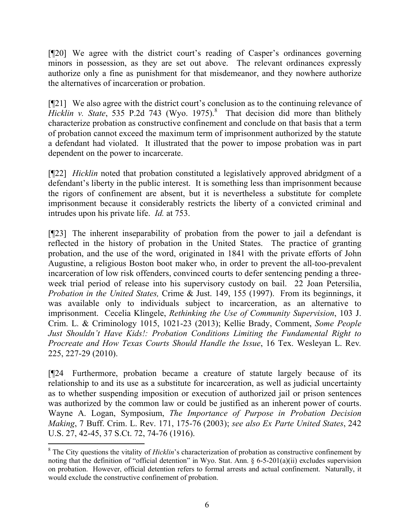[¶20] We agree with the district court's reading of Casper's ordinances governing minors in possession, as they are set out above. The relevant ordinances expressly authorize only a fine as punishment for that misdemeanor, and they nowhere authorize the alternatives of incarceration or probation.

[¶21] We also agree with the district court's conclusion as to the continuing relevance of Hicklin v. State, 535 P.2d 743 (Wyo. 1975).<sup>8</sup> That decision did more than blithely characterize probation as constructive confinement and conclude on that basis that a term of probation cannot exceed the maximum term of imprisonment authorized by the statute a defendant had violated. It illustrated that the power to impose probation was in part dependent on the power to incarcerate.

[¶22] *Hicklin* noted that probation constituted a legislatively approved abridgment of a defendant's liberty in the public interest. It is something less than imprisonment because the rigors of confinement are absent, but it is nevertheless a substitute for complete imprisonment because it considerably restricts the liberty of a convicted criminal and intrudes upon his private life. *Id.* at 753.

[¶23] The inherent inseparability of probation from the power to jail a defendant is reflected in the history of probation in the United States. The practice of granting probation, and the use of the word, originated in 1841 with the private efforts of John Augustine, a religious Boston boot maker who, in order to prevent the all-too-prevalent incarceration of low risk offenders, convinced courts to defer sentencing pending a threeweek trial period of release into his supervisory custody on bail. 22 Joan Petersilia, *Probation in the United States,* Crime & Just. 149, 155 (1997). From its beginnings, it was available only to individuals subject to incarceration, as an alternative to imprisonment. Cecelia Klingele, *Rethinking the Use of Community Supervision*, 103 J. Crim. L. & Criminology 1015, 1021-23 (2013); Kellie Brady, Comment, *Some People Just Shouldn't Have Kids!: Probation Conditions Limiting the Fundamental Right to Procreate and How Texas Courts Should Handle the Issue*, 16 Tex. Wesleyan L. Rev*.* 225, 227-29 (2010).

[¶24 Furthermore, probation became a creature of statute largely because of its relationship to and its use as a substitute for incarceration, as well as judicial uncertainty as to whether suspending imposition or execution of authorized jail or prison sentences was authorized by the common law or could be justified as an inherent power of courts. Wayne A. Logan, Symposium, *The Importance of Purpose in Probation Decision Making*, 7 Buff. Crim. L. Rev. 171, 175-76 (2003); *see also Ex Parte United States*, 242 U.S. 27, 42-45, 37 S.Ct. 72, 74-76 (1916).

l

<sup>&</sup>lt;sup>8</sup> The City questions the vitality of *Hicklin*'s characterization of probation as constructive confinement by noting that the definition of "official detention" in Wyo. Stat. Ann. § 6-5-201(a)(ii) excludes supervision on probation. However, official detention refers to formal arrests and actual confinement. Naturally, it would exclude the constructive confinement of probation.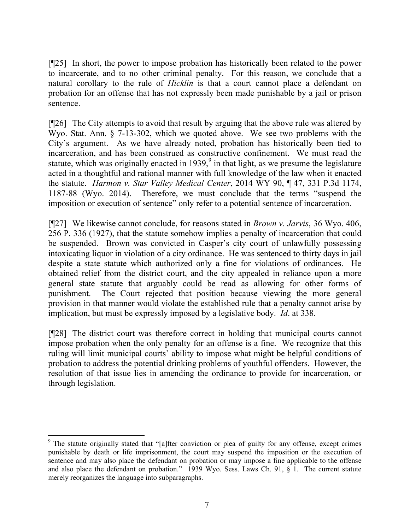[¶25] In short, the power to impose probation has historically been related to the power to incarcerate, and to no other criminal penalty. For this reason, we conclude that a natural corollary to the rule of *Hicklin* is that a court cannot place a defendant on probation for an offense that has not expressly been made punishable by a jail or prison sentence.

[¶26] The City attempts to avoid that result by arguing that the above rule was altered by Wyo. Stat. Ann. § 7-13-302, which we quoted above. We see two problems with the City's argument. As we have already noted, probation has historically been tied to incarceration, and has been construed as constructive confinement. We must read the statute, which was originally enacted in 1939, $\degree$  in that light, as we presume the legislature acted in a thoughtful and rational manner with full knowledge of the law when it enacted the statute. *Harmon v. Star Valley Medical Center*, 2014 WY 90, ¶ 47, 331 P.3d 1174, 1187-88 (Wyo. 2014). Therefore, we must conclude that the terms "suspend the imposition or execution of sentence" only refer to a potential sentence of incarceration.

[¶27] We likewise cannot conclude, for reasons stated in *Brown v. Jarvis*, 36 Wyo. 406, 256 P. 336 (1927), that the statute somehow implies a penalty of incarceration that could be suspended. Brown was convicted in Casper's city court of unlawfully possessing intoxicating liquor in violation of a city ordinance. He was sentenced to thirty days in jail despite a state statute which authorized only a fine for violations of ordinances. He obtained relief from the district court, and the city appealed in reliance upon a more general state statute that arguably could be read as allowing for other forms of punishment. The Court rejected that position because viewing the more general provision in that manner would violate the established rule that a penalty cannot arise by implication, but must be expressly imposed by a legislative body. *Id*. at 338.

[¶28] The district court was therefore correct in holding that municipal courts cannot impose probation when the only penalty for an offense is a fine. We recognize that this ruling will limit municipal courts' ability to impose what might be helpful conditions of probation to address the potential drinking problems of youthful offenders. However, the resolution of that issue lies in amending the ordinance to provide for incarceration, or through legislation.

 $\overline{a}$ <sup>9</sup> The statute originally stated that "[a]fter conviction or plea of guilty for any offense, except crimes punishable by death or life imprisonment, the court may suspend the imposition or the execution of sentence and may also place the defendant on probation or may impose a fine applicable to the offense and also place the defendant on probation." 1939 Wyo. Sess. Laws Ch. 91, § 1. The current statute merely reorganizes the language into subparagraphs.